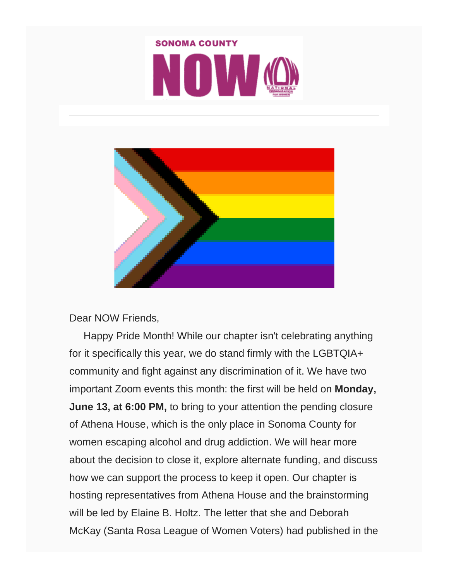



#### Dear NOW Friends,

 Happy Pride Month! While our chapter isn't celebrating anything for it specifically this year, we do stand firmly with the LGBTQIA+ community and fight against any discrimination of it. We have two important Zoom events this month: the first will be held on **Monday, June 13, at 6:00 PM,** to bring to your attention the pending closure of Athena House, which is the only place in Sonoma County for women escaping alcohol and drug addiction. We will hear more about the decision to close it, explore alternate funding, and discuss how we can support the process to keep it open. Our chapter is hosting representatives from Athena House and the brainstorming will be led by Elaine B. Holtz. The letter that she and Deborah McKay (Santa Rosa League of Women Voters) had published in the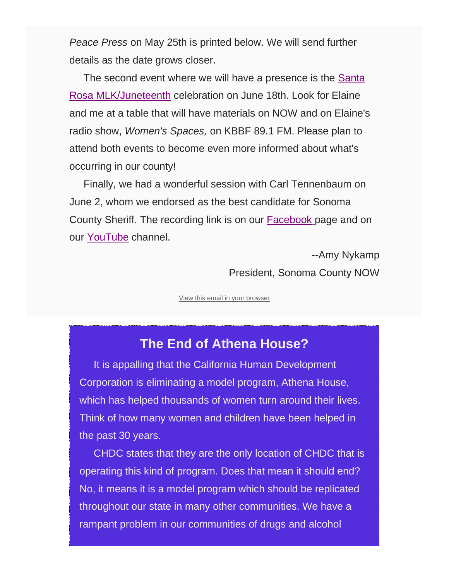*Peace Press* on May 25th is printed below. We will send further details as the date grows closer.

 The second event where we will have a presence is the [Santa](https://www.sonomacountyjuneteenth.com/)  [Rosa MLK/Juneteenth](https://www.sonomacountyjuneteenth.com/) celebration on June 18th. Look for Elaine and me at a table that will have materials on NOW and on Elaine's radio show, *Women's Spaces,* on KBBF 89.1 FM. Please plan to attend both events to become even more informed about what's occurring in our county!

 Finally, we had a wonderful session with Carl Tennenbaum on June 2, whom we endorsed as the best candidate for Sonoma County Sheriff. The recording link is on our [Facebook](https://www.facebook.com/groups/sonomacountynow) page and on our [YouTube](https://studio.youtube.com/channel/UCIgTr7_29T8COX2MNul_Q8g) channel.

> --Amy Nykamp President, Sonoma County NOW

[View this email in your browser](https://mailchi.mp/nowsonoma/now-sonoma-june-events-13465420?e=%5bUNIQID%5d)

#### **The End of Athena House?**

 It is appalling that the California Human Development Corporation is eliminating a model program, Athena House, which has helped thousands of women turn around their lives. Think of how many women and children have been helped in the past 30 years.

 CHDC states that they are the only location of CHDC that is operating this kind of program. Does that mean it should end? No, it means it is a model program which should be replicated throughout our state in many other communities. We have a rampant problem in our communities of drugs and alcohol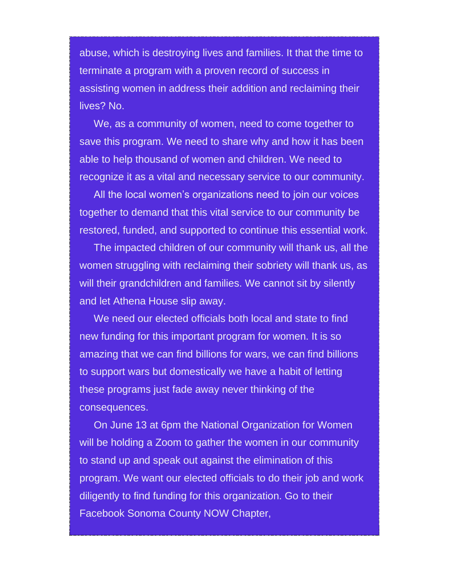abuse, which is destroying lives and families. It that the time to terminate a program with a proven record of success in assisting women in address their addition and reclaiming their lives? No.

 We, as a community of women, need to come together to save this program. We need to share why and how it has been able to help thousand of women and children. We need to recognize it as a vital and necessary service to our community.

 All the local women's organizations need to join our voices together to demand that this vital service to our community be restored, funded, and supported to continue this essential work.

 The impacted children of our community will thank us, all the women struggling with reclaiming their sobriety will thank us, as will their grandchildren and families. We cannot sit by silently and let Athena House slip away.

 We need our elected officials both local and state to find new funding for this important program for women. It is so amazing that we can find billions for wars, we can find billions to support wars but domestically we have a habit of letting these programs just fade away never thinking of the consequences.

 On June 13 at 6pm the National Organization for Women will be holding a Zoom to gather the women in our community to stand up and speak out against the elimination of this program. We want our elected officials to do their job and work diligently to find funding for this organization. Go to their Facebook Sonoma County NOW Chapter,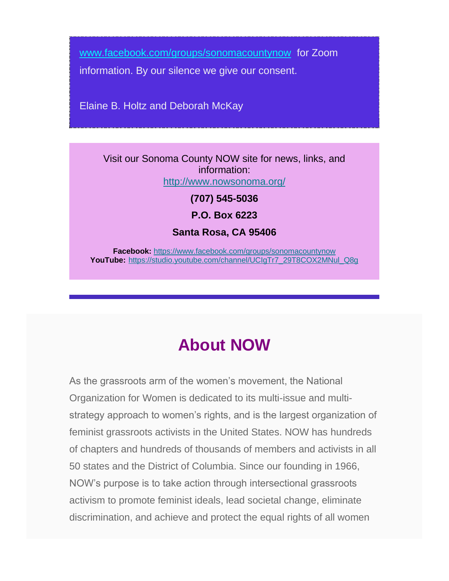[www.facebook.com/groups/sonomacountynow](http://www.facebook.com/groups/sonomacountynow) for Zoom

information. By our silence we give our consent.

Elaine B. Holtz and Deborah McKay

Visit our Sonoma County NOW site for news, links, and information: <http://www.nowsonoma.org/>

**(707) 545-5036**

**P.O. Box 6223**

**Santa Rosa, CA 95406**

**Facebook:** <https://www.facebook.com/groups/sonomacountynow> **YouTube:** [https://studio.youtube.com/channel/UCIgTr7\\_29T8COX2MNul\\_Q8g](https://studio.youtube.com/channel/UCIgTr7_29T8COX2MNul_Q8g)

# **About NOW**

As the grassroots arm of the women's movement, the National Organization for Women is dedicated to its multi-issue and multistrategy approach to women's rights, and is the largest organization of feminist grassroots activists in the United States. NOW has hundreds of chapters and hundreds of thousands of members and activists in all 50 states and the District of Columbia. Since our founding in 1966, NOW's purpose is to take action through intersectional grassroots activism to promote feminist ideals, lead societal change, eliminate discrimination, and achieve and protect the equal rights of all women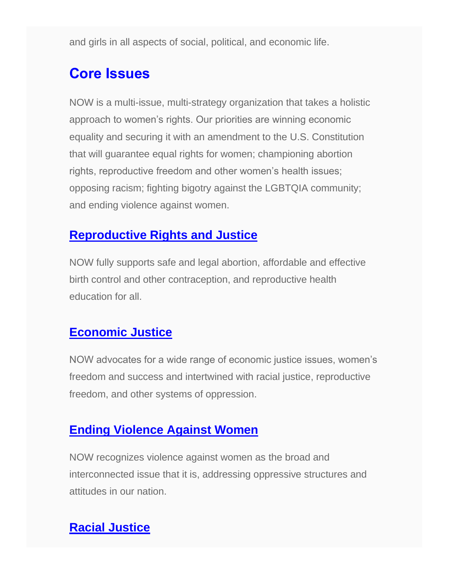and girls in all aspects of social, political, and economic life.

## **Core Issues**

NOW is a multi-issue, multi-strategy organization that takes a holistic approach to women's rights. Our priorities are winning economic equality and securing it with an amendment to the U.S. Constitution that will guarantee equal rights for women; championing abortion rights, reproductive freedom and other women's health issues; opposing racism; fighting bigotry against the LGBTQIA community; and ending violence against women.

#### **[Reproductive Rights and Justice](https://now.org/issues/abortion-rights-reproductive-issues/)**

NOW fully supports safe and legal abortion, affordable and effective birth control and other contraception, and reproductive health education for all.

#### **[Economic Justice](https://now.org/issues/economic-justice/)**

NOW advocates for a wide range of economic justice issues, women's freedom and success and intertwined with racial justice, reproductive freedom, and other systems of oppression.

#### **[Ending Violence Against Women](https://now.org/issues/stopping-violence-against-women/)**

NOW recognizes violence against women as the broad and interconnected issue that it is, addressing oppressive structures and attitudes in our nation.

### **[Racial Justice](https://now.org/issues/promoting-diversity-ending-racism/)**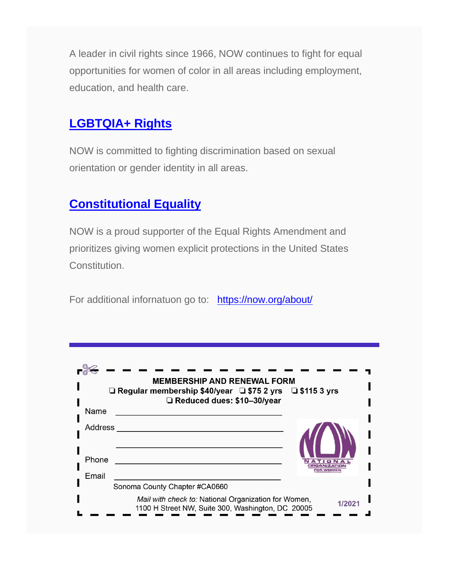A leader in civil rights since 1966, NOW continues to fight for equal opportunities for women of color in all areas including employment, education, and health care.

### **[LGBTQIA+ Rights](https://now.org/issues/lgbtq-rights/)**

NOW is committed to fighting discrimination based on sexual orientation or gender identity in all areas.

#### **[Constitutional Equality](https://now.org/issues/constitutional-equality/)**

NOW is a proud supporter of the Equal Rights Amendment and prioritizes giving women explicit protections in the United States Constitution.

For additional infornatuon go to: <https://now.org/about/>

|                                                                                                           | <b>MEMBERSHIP AND RENEWAL FORM</b><br>□ Regular membership \$40/year □ \$75 2 yrs □ \$115 3 yrs<br>□ Reduced dues: \$10-30/year |                                     |
|-----------------------------------------------------------------------------------------------------------|---------------------------------------------------------------------------------------------------------------------------------|-------------------------------------|
| Name                                                                                                      |                                                                                                                                 |                                     |
| <b>Address</b><br>Phone                                                                                   |                                                                                                                                 | ATIO<br><b>DRGANIZATI</b><br>ne waw |
| Email                                                                                                     |                                                                                                                                 |                                     |
|                                                                                                           | Sonoma County Chapter #CA0660                                                                                                   |                                     |
| Mail with check to: National Organization for Women,<br>1100 H Street NW, Suite 300, Washington, DC 20005 |                                                                                                                                 |                                     |